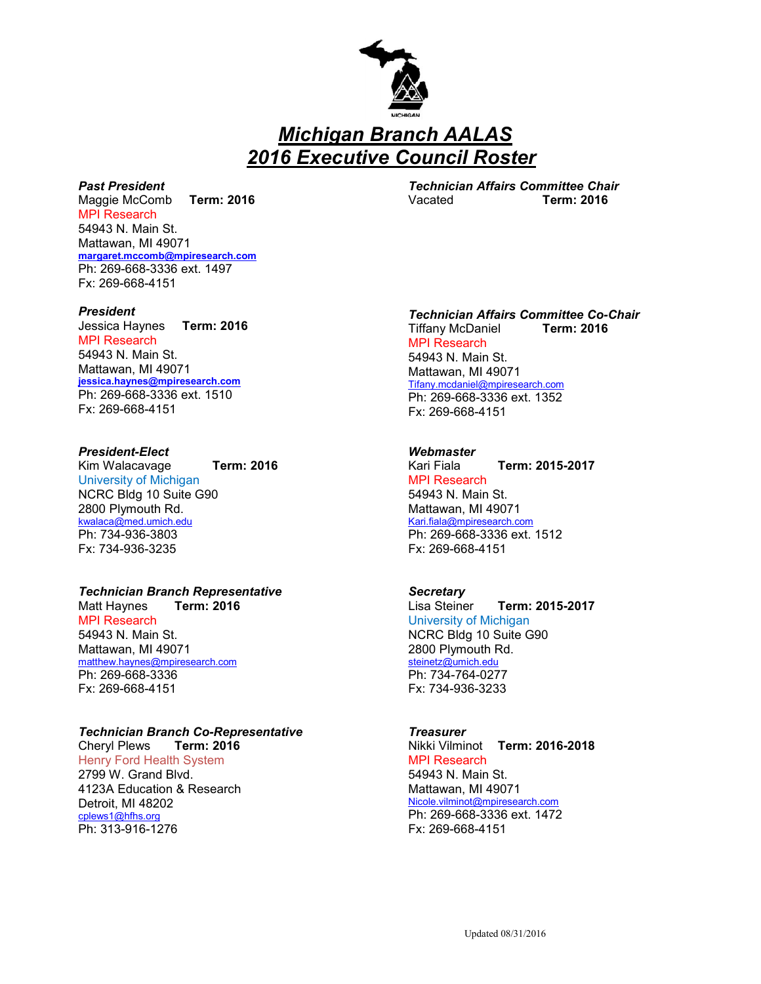

 *Michigan Branch AALAS 2016 Executive Council Roster*

## *Past President*

Maggie McComb **Term: 2016** MPI Research 54943 N. Main St. Mattawan, MI 49071 **[margaret.mccomb@mpiresearch.com](mailto:margaret.mccomb@mpiresearch.com)** Ph: 269-668-3336 ext. 1497 Fx: 269-668-4151

#### *President*

Jessica Haynes **Term: 2016** MPI Research 54943 N. Main St. Mattawan, MI 49071 **[jessica.haynes@mpiresearch.com](mailto:jessica.haynes@mpiresearch.com)** Ph: 269-668-3336 ext. 1510 Fx: 269-668-4151

#### *President-Elect*

Kim Walacavage **Term: 2016** University of Michigan NCRC Bldg 10 Suite G90 2800 Plymouth Rd. [kwalaca@med.umich.edu](mailto:kwalaca@med.umich.edu) Ph: 734-936-3803 Fx: 734-936-3235

# *Technician Branch Representative*

Matt Haynes **Term: 2016** MPI Research 54943 N. Main St. Mattawan, MI 49071 [matthew.haynes@mpiresearch.com](mailto:matthew.haynes@mpiresearch.com) Ph: 269-668-3336 Fx: 269-668-4151

## *Technician Branch Co-Representative*

Cheryl Plews **Term: 2016** Henry Ford Health System 2799 W. Grand Blvd. 4123A Education & Research Detroit, MI 48202 [cplews1@hfhs.org](mailto:cplews1@hfhs.org) Ph: 313-916-1276

*Technician Affairs Committee Chair* Vacated **Term: 2016**

## *Technician Affairs Committee Co-Chair*

Tiffany McDaniel **Term: 2016** MPI Research 54943 N. Main St. Mattawan, MI 49071 [Tifany.mcdaniel@mpiresearch.com](mailto:Tifany.mcdaniel@mpiresearch.com) Ph: 269-668-3336 ext. 1352 Fx: 269-668-4151

#### *Webmaster*

Kari Fiala **Term: 2015-2017** MPI Research 54943 N. Main St. Mattawan, MI 49071 [Kari.fiala@mpiresearch.com](mailto:Kari.fiala@mpiresearch.com) Ph: 269-668-3336 ext. 1512 Fx: 269-668-4151

#### *Secretary*

Lisa Steiner **Term: 2015-2017** University of Michigan NCRC Bldg 10 Suite G90 2800 Plymouth Rd. [steinetz@umich.edu](mailto:steinetz@umich.edu) Ph: 734-764-0277 Fx: 734-936-3233

#### *Treasurer*

Nikki Vilminot **Term: 2016-2018** MPI Research 54943 N. Main St. Mattawan, MI 49071 [Nicole.vilminot@mpiresearch.com](mailto:Nicole.vilminot@mpiresearch.com) Ph: 269-668-3336 ext. 1472 Fx: 269-668-4151